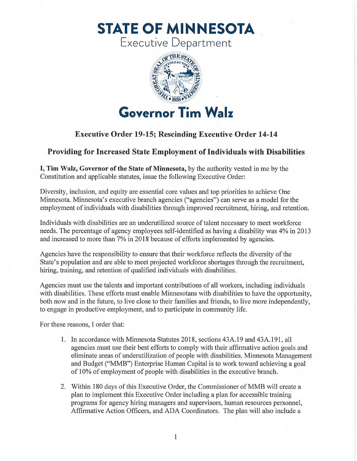**STATE OF MINNESOTA** 

Executive Department



## **Executive Order 19-15; Rescinding Executive Order 14-14**

## **Providing for Increased State Employment of Individuals with Disabilities**

I, Tim Walz, Governor of the State of Minnesota, by the authority vested in me by the Constitution and applicable statutes, issue the following Executive Order:

Diversity, inclusion, and equity are essential core values and top priorities to achieve One Minnesota Minnesota's executive branch agencies ("agencies") can serve as a model for the employment of individuals with disabilities through improved recruitment, hiring, and retention.

Individuals with disabilities are an underutilized source of talent necessary to meet workforce needs. The percentage of agency employees self-identified as having a disability was 4% in 2013 and increased to more than 7% in 2018 because of efforts implemented by agencies.

Agencies have the responsibility to ensure that their workforce reflects the diversity of the State's population and are able to meet projected workforce shortages through the recruitment, hiring, training, and retention of qualified individuals with disabilities.

Agencies must use the talents and important contributions of all workers, including individuals with disabilities. These efforts must enable Minnesotans with disabilities to have the opportunity, both now and in the future, to live close to their families and friends, to live more independently, to engage in productive employment, and to participate in community life.

For these reasons, I order that:

- 1. In accordance with Minnesota Statutes 2018, sections 43A.19 and 43A.191, all agencies must use their best efforts to comply with their affirmative action goals and eliminate areas of underutilization of people with disabilities. Minnesota Management and Budget ("MMB") Enterprise Human Capital is to work toward achieving a goal of 10% of employment of people with disabilities in the executive branch.
- 2. Within 180 days of this Executive Order, the Commissioner of MMB will create a plan to implement this Executive Order including a plan for accessible training programs for agency hiring managers and supervisors, human resources personnel, Affirmative Action Officers, and ADA Coordinators. The plan will also include a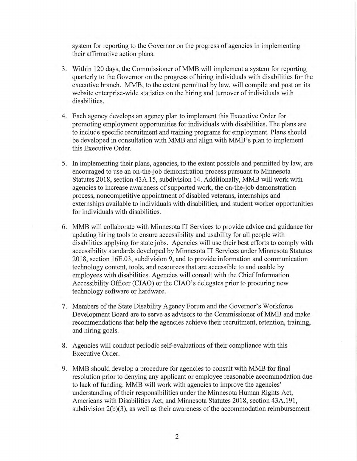system for reporting to the Governor on the progress of agencies in implementing their affirmative action plans.

- 3. Within 120 days, the Commissioner of MMB will implement a system for reporting quarterly to the Governor on the progress of hiring individuals with disabilities for the executive branch. MMB, to the extent permitted by law, will compile and post on its website enterprise-wide statistics on the hiring and turnover of individuals with disabilities.
- 4. Each agency develops an agency plan to implement this Executive Order for promoting employment opportunities for individuals with disabilities. The plans are to include specific recruitment and training programs for employment. Plans should be developed in consultation with MMB and align with MMB's plan to implement this Executive Order.
- 5. In implementing their plans, agencies, to the extent possible and permitted by law, are encouraged to use an on-the-job demonstration process pursuant to Minnesota Statutes 2018, section 43A.15, subdivision 14. Additionally, MMB will work with agencies to increase awareness of supported work, the on-the-job demonstration process, noncompetitive appointment of disabled veterans, internships and externships available to individuals with disabilities, and student worker opportunities for individuals with disabilities.
- 6. MMB will collaborate with Minnesota IT Services to provide advice and guidance for updating hiring tools to ensure accessibility and usability for all people with disabilities applying for state jobs. Agencies will use their best efforts to comply with accessibility standards developed by Minnesota IT Services under Minnesota Statutes 2018, section 16E.03, subdivision 9, and to provide information and communication technology content, tools, and resources that are accessible to and usable by employees with disabilities. Agencies will consult with the Chief Information Accessibility Officer (CIAO) or the CIAO's delegates prior to procuring new technology software or hardware.
- 7. Members of the State Disability Agency Forum and the Governor's Workforce Development Board are to serve as advisors to the Commissioner of MMB and make recommendations that help the agencies achieve their recruitment, retention, training, and hiring goals.
- 8. Agencies will conduct periodic self-evaluations of their compliance with this Executive Order.
- 9. MMB should develop a procedure for agencies to consult with MMB for final resolution prior to denying any applicant or employee reasonable accommodation due to lack of funding. MMB will work with agencies to improve the agencies' understanding of their responsibilities under the Minnesota Human Rights Act, Americans with Disabilities Act, and Minnesota Statutes 2018, section 43A.191, subdivision 2(b)(3), as well as their awareness of the accommodation reimbursement